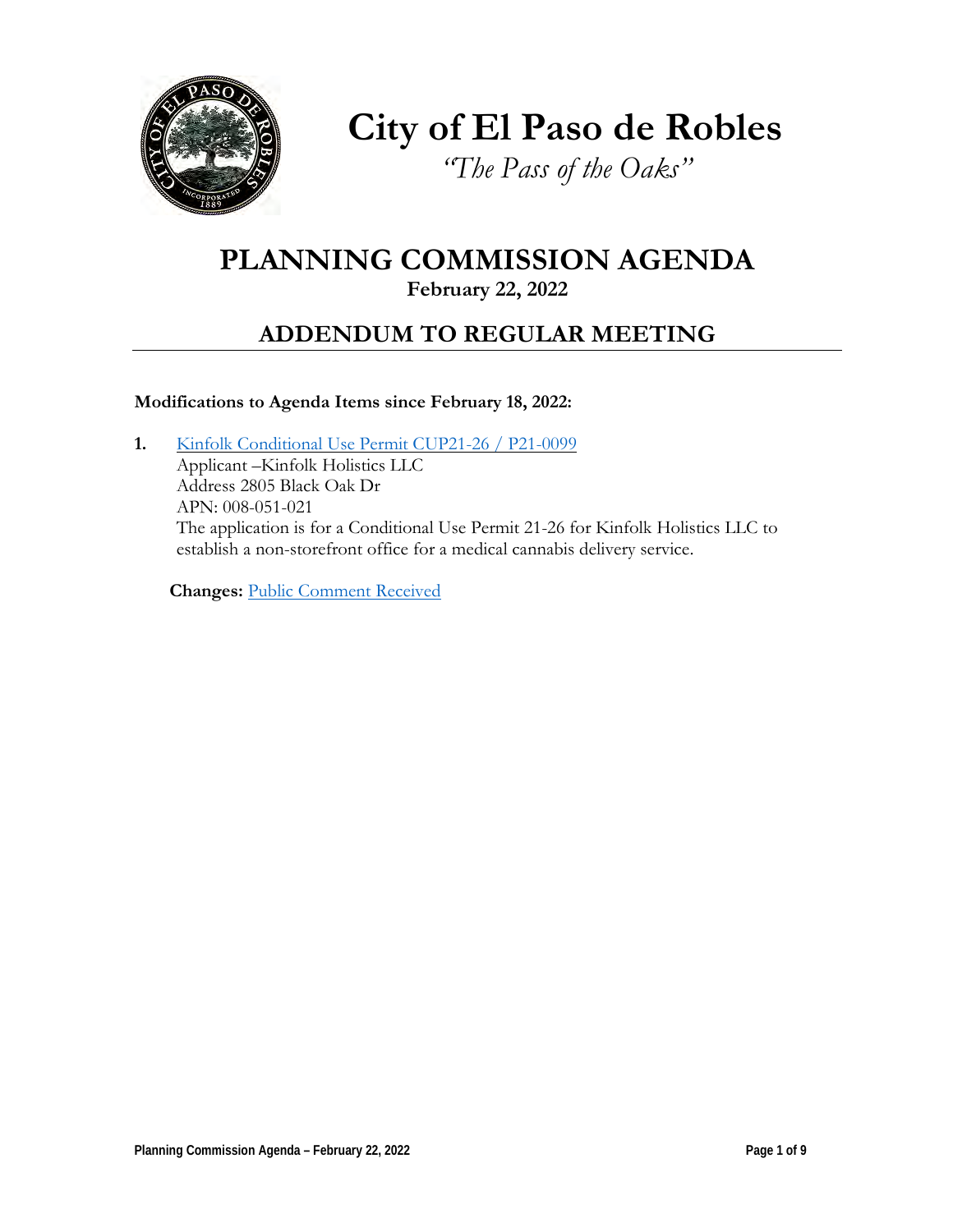

**City of El Paso de Robles**

*"The Pass of the Oaks"*

# **PLANNING COMMISSION AGENDA**

### **February 22, 2022**

## **ADDENDUM TO REGULAR MEETING**

### **Modifications to Agenda Items since February 18, 2022:**

**1.** [Kinfolk Conditional Use](https://www.prcity.com/DocumentCenter/View/33217/February-22-2022-Planning-Commission-Item-1-PDF) Permit CUP21-26 / P21-0099 Applicant –Kinfolk Holistics LLC Address 2805 Black Oak Dr APN: 008-051-021 The application is for a Conditional Use Permit 21-26 for Kinfolk Holistics LLC to establish a non-storefront office for a medical cannabis delivery service.

**Changes:** [Public Comment](https://www.prcity.com/DocumentCenter/View/33225/February-22-2022-Planning-Commission-Public-Comments-PDF) Received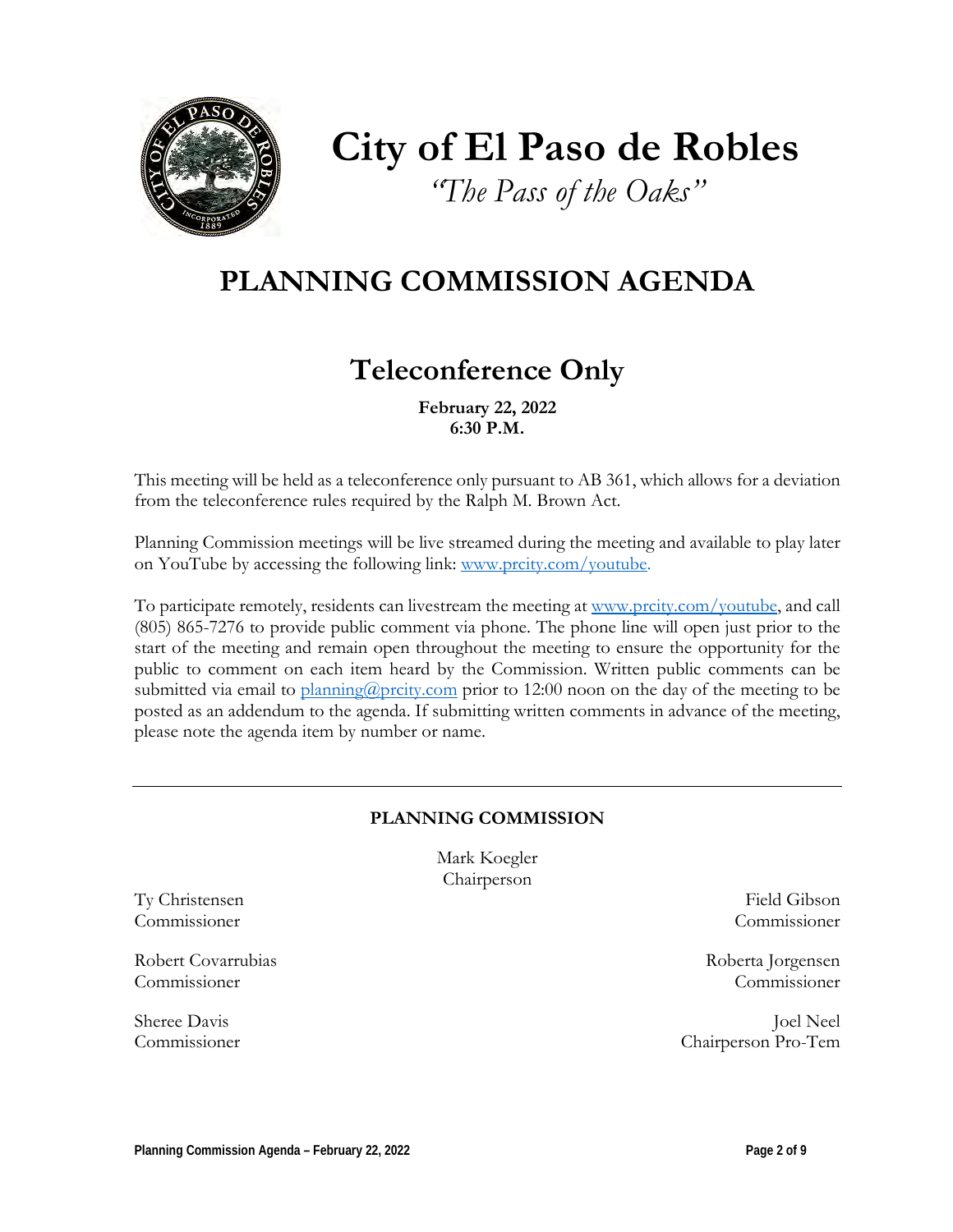

# **City of El Paso de Robles**

*"The Pass of the Oaks"*

# **PLANNING COMMISSION AGENDA**

# **Teleconference Only**

**February 22, 2022 6:30 P.M.** 

This meeting will be held as a teleconference only pursuant to AB 361, which allows for a deviation from the teleconference rules required by the Ralph M. Brown Act.

Planning Commission meetings will be live streamed during the meeting and available to play later on YouTube by accessing the following link: [www.prcity.com/youtube.](http://www.prcity.com/youtube)

To participate remotely, residents can livestream the meeting at [www.prcity.com/youtube,](http://www.prcity.com/youtube) and call (805) 865-7276 to provide public comment via phone. The phone line will open just prior to the start of the meeting and remain open throughout the meeting to ensure the opportunity for the public to comment on each item heard by the Commission. Written public comments can be submitted via email to [planning@prcity.com](mailto:planning@prcity.com) prior to 12:00 noon on the day of the meeting to be posted as an addendum to the agenda. If submitting written comments in advance of the meeting, please note the agenda item by number or name.

### **PLANNING COMMISSION**

Mark Koegler Chairperson

Ty Christensen Field Gibson Commissioner Commissioner

Robert Covarrubias Roberta Jorgensen Commissioner Commissioner

Sheree Davis Joel Neel Commissioner Chairperson Pro-Tem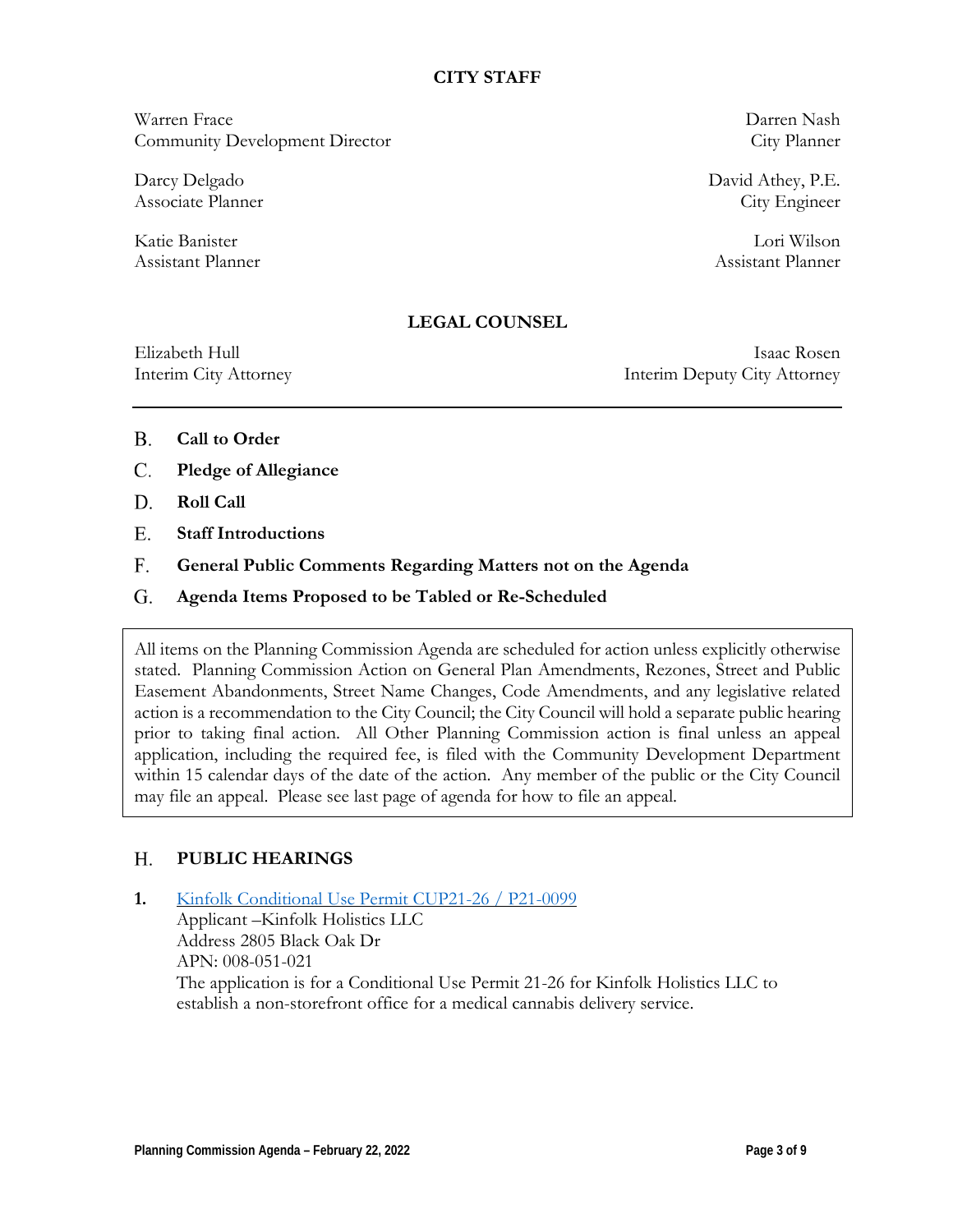### **CITY STAFF**

Warren Frace Darren Nash Community Development Director City Planner

Assistant Planner Assistant Planner

Darcy Delgado David Athey, P.E. Associate Planner City Engineer

Katie Banister Lori Wilson

### **LEGAL COUNSEL**

Elizabeth Hull Isaac Rosen Interim City Attorney Interim Deputy City Attorney

- **Call to Order** B.
- **Pledge of Allegiance** C.
- **Roll Call**  D.
- **Staff Introductions** E.
- **General Public Comments Regarding Matters not on the Agenda** F.
- **Agenda Items Proposed to be Tabled or Re-Scheduled**  G.

All items on the Planning Commission Agenda are scheduled for action unless explicitly otherwise stated. Planning Commission Action on General Plan Amendments, Rezones, Street and Public Easement Abandonments, Street Name Changes, Code Amendments, and any legislative related action is a recommendation to the City Council; the City Council will hold a separate public hearing prior to taking final action. All Other Planning Commission action is final unless an appeal application, including the required fee, is filed with the Community Development Department within 15 calendar days of the date of the action. Any member of the public or the City Council may file an appeal. Please see last page of agenda for how to file an appeal.

#### **PUBLIC HEARINGS**  H.

**1.** [Kinfolk Conditional Use](https://www.prcity.com/DocumentCenter/View/33217/February-22-2022-Planning-Commission-Item-1-PDF) Permit CUP21-26 / P21-0099 Applicant –Kinfolk Holistics LLC Address 2805 Black Oak Dr APN: 008-051-021 The application is for a Conditional Use Permit 21-26 for Kinfolk Holistics LLC to establish a non-storefront office for a medical cannabis delivery service.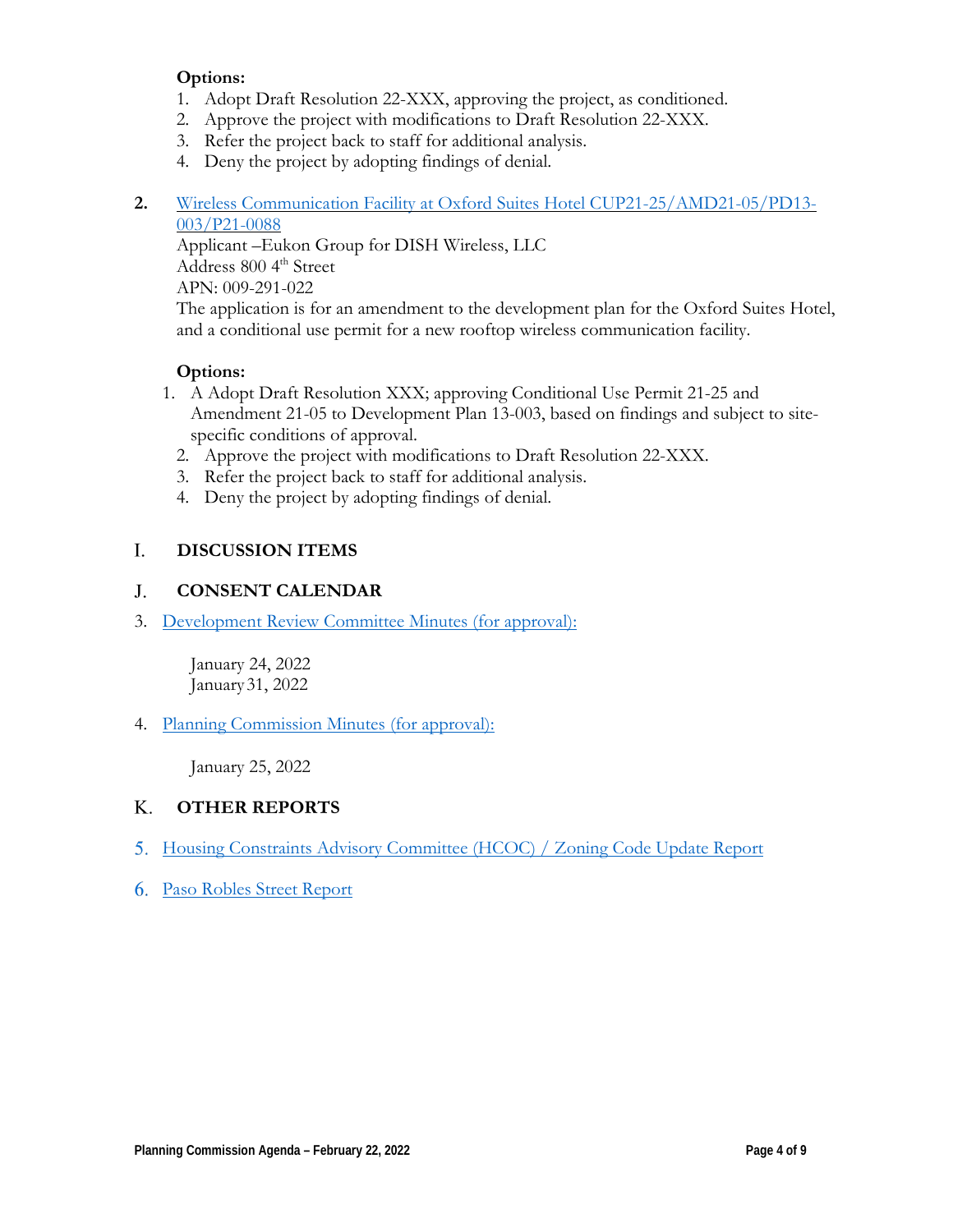### **Options:**

- 1. Adopt Draft Resolution 22-XXX, approving the project, as conditioned.
- 2. Approve the project with modifications to Draft Resolution 22-XXX.
- 3. Refer the project back to staff for additional analysis.
- 4. Deny the project by adopting findings of denial.
- **2.** Wireless Communication Facility at Oxford [Suites Hotel CUP21-25/AMD21-05/PD13-](https://www.prcity.com/DocumentCenter/View/33218/February-22-2022-Planning-Commission-Item-2-PDF) [003/P21-0088](https://www.prcity.com/DocumentCenter/View/33218/February-22-2022-Planning-Commission-Item-2-PDF)

Applicant –Eukon Group for DISH Wireless, LLC Address 800 4<sup>th</sup> Street APN: 009-291-022 The application is for an amendment to the development plan for the Oxford Suites Hotel, and a conditional use permit for a new rooftop wireless communication facility.

### **Options:**

- 1. A Adopt Draft Resolution XXX; approving Conditional Use Permit 21-25 and Amendment 21-05 to Development Plan 13-003, based on findings and subject to sitespecific conditions of approval.
	- 2. Approve the project with modifications to Draft Resolution 22-XXX.
	- 3. Refer the project back to staff for additional analysis.
	- 4. Deny the project by adopting findings of denial.

#### **DISCUSSION ITEMS**  I.

#### **CONSENT CALENDAR** J.

3. Development Review [Committee Minutes \(for approval\):](https://www.prcity.com/DocumentCenter/View/33220/February-22-2022-Planning-Commission-Item-3-PDF)

January 24, 2022 January31, 2022

4. [Planning Commission Minutes \(for approval\):](https://www.prcity.com/DocumentCenter/View/33221/February-22-2022-Planning-Commission-Item-4-PDF)

January 25, 2022

#### **OTHER REPORTS** K.

- 5. [Housing Constraints Advisory Committee](https://www.prcity.com/DocumentCenter/View/33222/February-22-2022-Planning-Commission-Item-5-PDF) (HCOC) / Zoning Code Update Report
- 6. [Paso Robles Street Report](https://www.prcity.com/DocumentCenter/View/33223/February-22-2022-Planning-Commission-Item-6-PDF)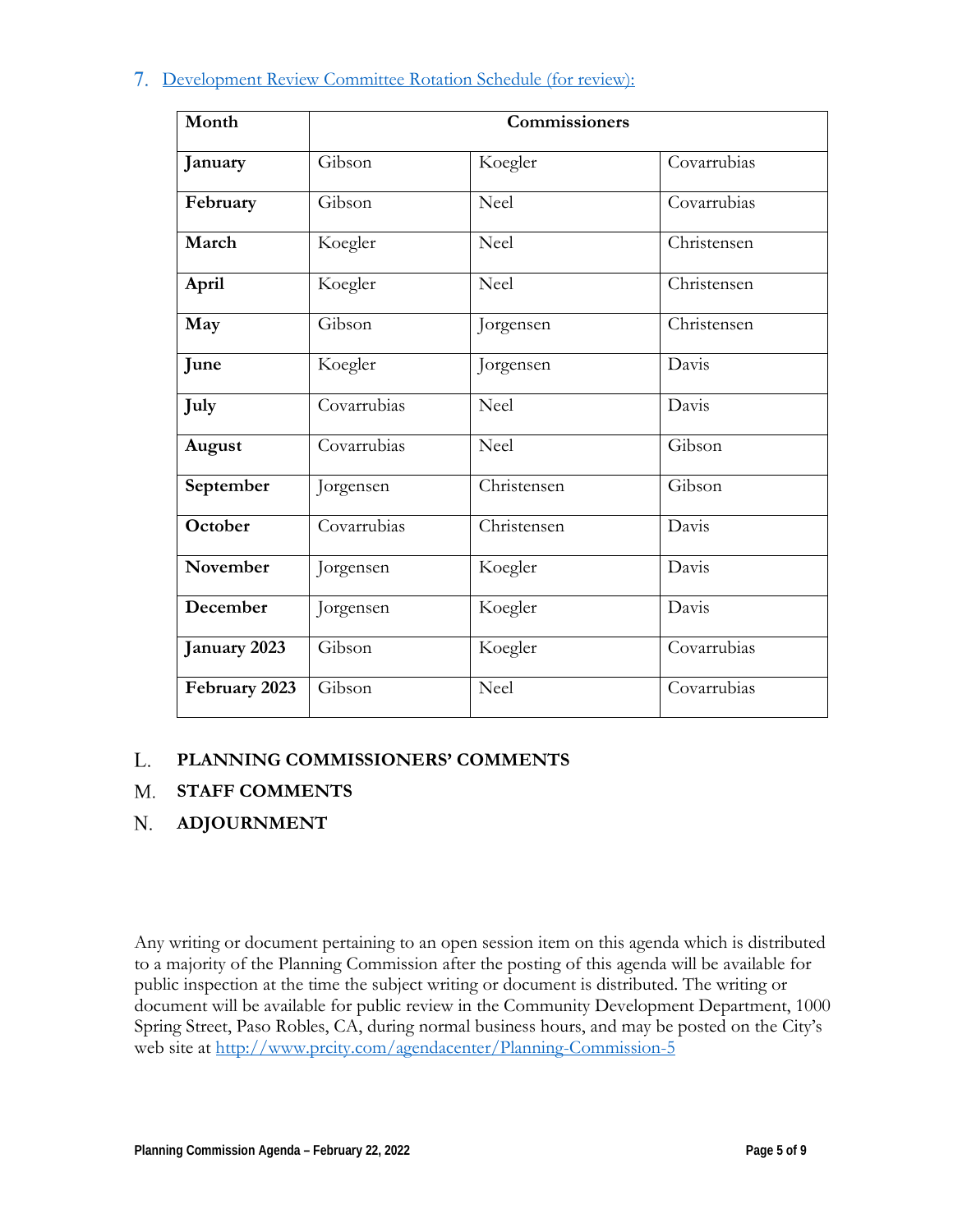### 7. Development Review Committee [Rotation Schedule \(for](https://www.prcity.com/DocumentCenter/View/33224/February-22-2022-Planning-Commission-Item-7-PDF) review):

| Month         | Commissioners |             |             |
|---------------|---------------|-------------|-------------|
| January       | Gibson        | Koegler     | Covarrubias |
| February      | Gibson        | Neel        | Covarrubias |
| March         | Koegler       | Neel        | Christensen |
| April         | Koegler       | Neel        | Christensen |
| May           | Gibson        | Jorgensen   | Christensen |
| June          | Koegler       | Jorgensen   | Davis       |
| July          | Covarrubias   | Neel        | Davis       |
| August        | Covarrubias   | Neel        | Gibson      |
| September     | Jorgensen     | Christensen | Gibson      |
| October       | Covarrubias   | Christensen | Davis       |
| November      | Jorgensen     | Koegler     | Davis       |
| December      | Jorgensen     | Koegler     | Davis       |
| January 2023  | Gibson        | Koegler     | Covarrubias |
| February 2023 | Gibson        | Neel        | Covarrubias |

#### **PLANNING COMMISSIONERS' COMMENTS** L.

#### **STAFF COMMENTS** M.

#### **ADJOURNMENT** N.

Any writing or document pertaining to an open session item on this agenda which is distributed to a majority of the Planning Commission after the posting of this agenda will be available for public inspection at the time the subject writing or document is distributed. The writing or document will be available for public review in the Community Development Department, 1000 Spring Street, Paso Robles, CA, during normal business hours, and may be posted on the City's web site at <http://www.prcity.com/agendacenter/Planning-Commission-5>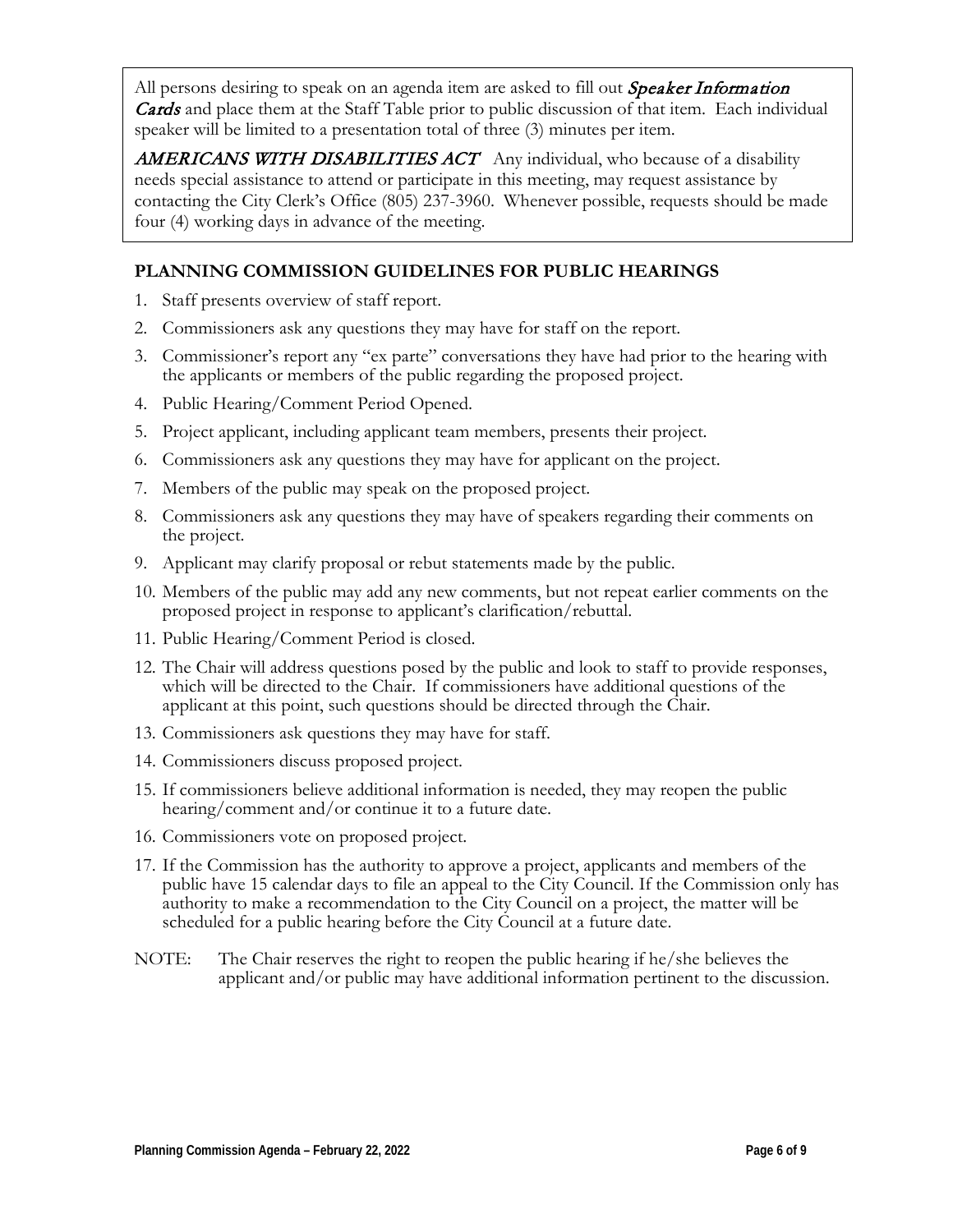All persons desiring to speak on an agenda item are asked to fill out *Speaker Information* **Cards** and place them at the Staff Table prior to public discussion of that item. Each individual speaker will be limited to a presentation total of three (3) minutes per item.

**AMERICANS WITH DISABILITIES ACT** Any individual, who because of a disability needs special assistance to attend or participate in this meeting, may request assistance by contacting the City Clerk's Office (805) 237-3960. Whenever possible, requests should be made four (4) working days in advance of the meeting.

### **PLANNING COMMISSION GUIDELINES FOR PUBLIC HEARINGS**

- 1. Staff presents overview of staff report.
- 2. Commissioners ask any questions they may have for staff on the report.
- 3. Commissioner's report any "ex parte" conversations they have had prior to the hearing with the applicants or members of the public regarding the proposed project.
- 4. Public Hearing/Comment Period Opened.
- 5. Project applicant, including applicant team members, presents their project.
- 6. Commissioners ask any questions they may have for applicant on the project.
- 7. Members of the public may speak on the proposed project.
- 8. Commissioners ask any questions they may have of speakers regarding their comments on the project.
- 9. Applicant may clarify proposal or rebut statements made by the public.
- 10. Members of the public may add any new comments, but not repeat earlier comments on the proposed project in response to applicant's clarification/rebuttal.
- 11. Public Hearing/Comment Period is closed.
- 12. The Chair will address questions posed by the public and look to staff to provide responses, which will be directed to the Chair. If commissioners have additional questions of the applicant at this point, such questions should be directed through the Chair.
- 13. Commissioners ask questions they may have for staff.
- 14. Commissioners discuss proposed project.
- 15. If commissioners believe additional information is needed, they may reopen the public hearing/comment and/or continue it to a future date.
- 16. Commissioners vote on proposed project.
- 17. If the Commission has the authority to approve a project, applicants and members of the public have 15 calendar days to file an appeal to the City Council. If the Commission only has authority to make a recommendation to the City Council on a project, the matter will be scheduled for a public hearing before the City Council at a future date.
- NOTE: The Chair reserves the right to reopen the public hearing if he/she believes the applicant and/or public may have additional information pertinent to the discussion.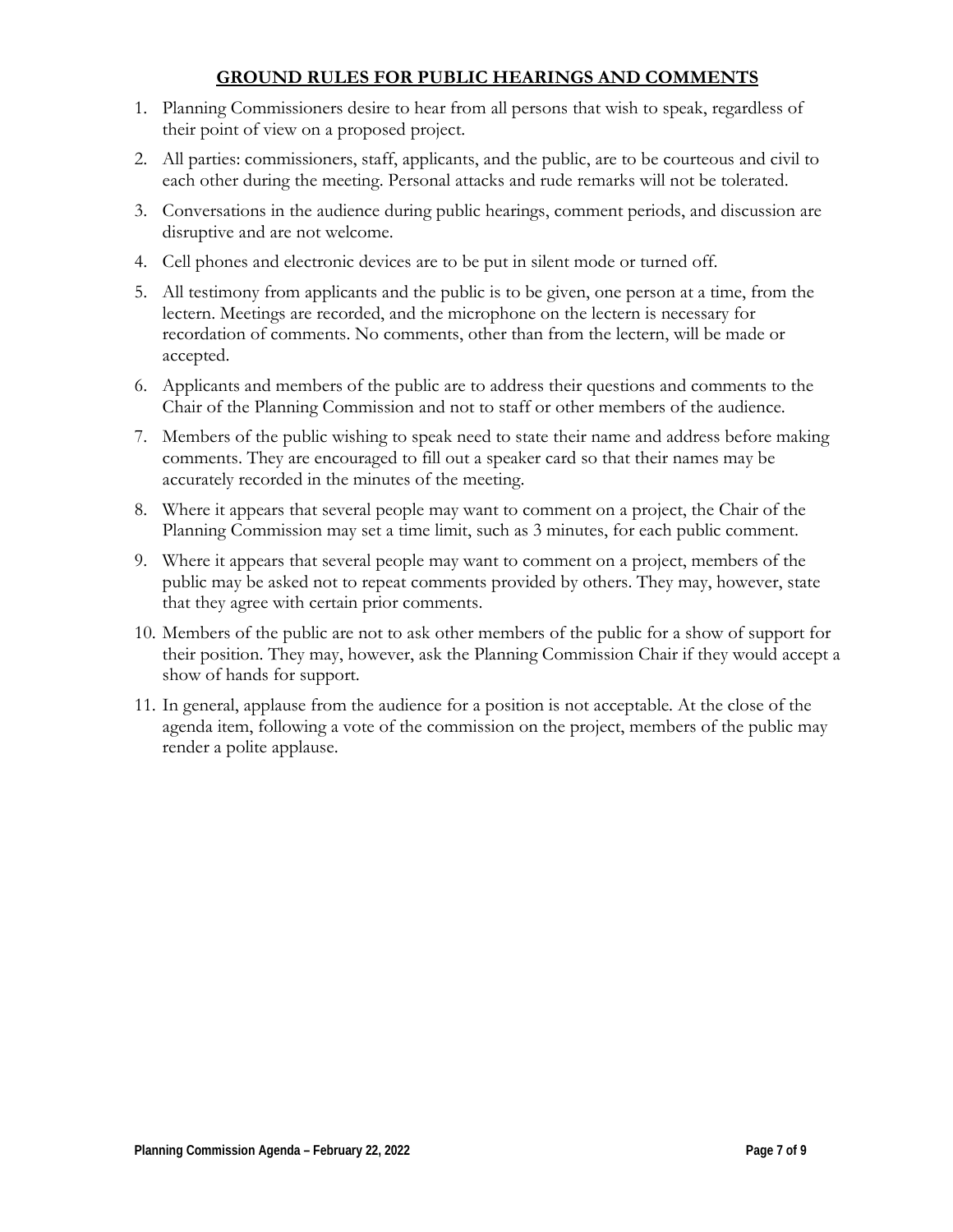### **GROUND RULES FOR PUBLIC HEARINGS AND COMMENTS**

- 1. Planning Commissioners desire to hear from all persons that wish to speak, regardless of their point of view on a proposed project.
- 2. All parties: commissioners, staff, applicants, and the public, are to be courteous and civil to each other during the meeting. Personal attacks and rude remarks will not be tolerated.
- 3. Conversations in the audience during public hearings, comment periods, and discussion are disruptive and are not welcome.
- 4. Cell phones and electronic devices are to be put in silent mode or turned off.
- 5. All testimony from applicants and the public is to be given, one person at a time, from the lectern. Meetings are recorded, and the microphone on the lectern is necessary for recordation of comments. No comments, other than from the lectern, will be made or accepted.
- 6. Applicants and members of the public are to address their questions and comments to the Chair of the Planning Commission and not to staff or other members of the audience.
- 7. Members of the public wishing to speak need to state their name and address before making comments. They are encouraged to fill out a speaker card so that their names may be accurately recorded in the minutes of the meeting.
- 8. Where it appears that several people may want to comment on a project, the Chair of the Planning Commission may set a time limit, such as 3 minutes, for each public comment.
- 9. Where it appears that several people may want to comment on a project, members of the public may be asked not to repeat comments provided by others. They may, however, state that they agree with certain prior comments.
- 10. Members of the public are not to ask other members of the public for a show of support for their position. They may, however, ask the Planning Commission Chair if they would accept a show of hands for support.
- 11. In general, applause from the audience for a position is not acceptable. At the close of the agenda item, following a vote of the commission on the project, members of the public may render a polite applause.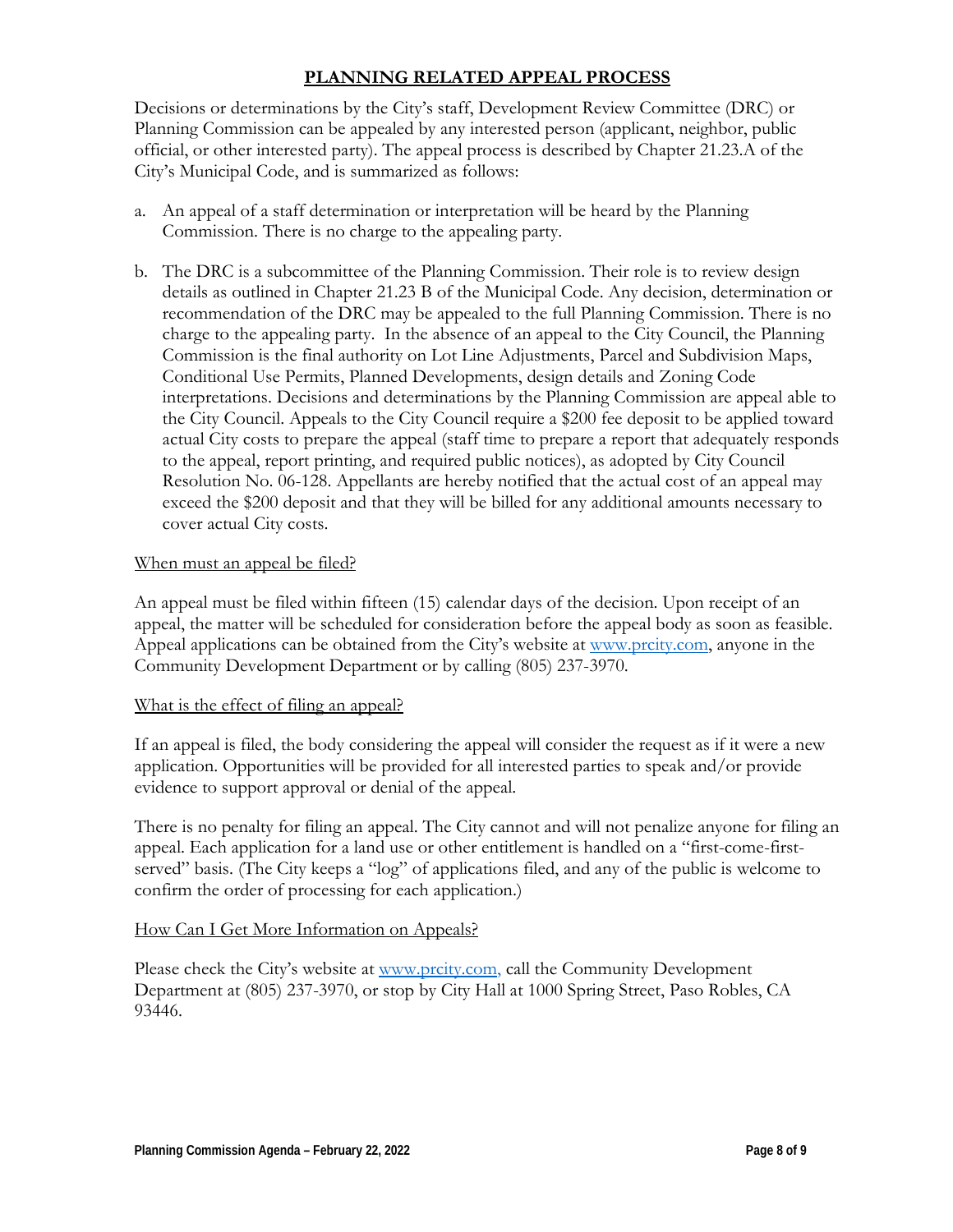### **PLANNING RELATED APPEAL PROCESS**

Decisions or determinations by the City's staff, Development Review Committee (DRC) or Planning Commission can be appealed by any interested person (applicant, neighbor, public official, or other interested party). The appeal process is described by Chapter 21.23.A of the City's Municipal Code, and is summarized as follows:

- a. An appeal of a staff determination or interpretation will be heard by the Planning Commission. There is no charge to the appealing party.
- b. The DRC is a subcommittee of the Planning Commission. Their role is to review design details as outlined in Chapter 21.23 B of the Municipal Code. Any decision, determination or recommendation of the DRC may be appealed to the full Planning Commission. There is no charge to the appealing party. In the absence of an appeal to the City Council, the Planning Commission is the final authority on Lot Line Adjustments, Parcel and Subdivision Maps, Conditional Use Permits, Planned Developments, design details and Zoning Code interpretations. Decisions and determinations by the Planning Commission are appeal able to the City Council. Appeals to the City Council require a \$200 fee deposit to be applied toward actual City costs to prepare the appeal (staff time to prepare a report that adequately responds to the appeal, report printing, and required public notices), as adopted by City Council Resolution No. 06-128. Appellants are hereby notified that the actual cost of an appeal may exceed the \$200 deposit and that they will be billed for any additional amounts necessary to cover actual City costs.

### When must an appeal be filed?

An appeal must be filed within fifteen (15) calendar days of the decision. Upon receipt of an appeal, the matter will be scheduled for consideration before the appeal body as soon as feasible. Appeal applications can be obtained from the City's website at [www.prcity.com,](http://www.prcity.com/) anyone in the Community Development Department or by calling (805) 237-3970.

### What is the effect of filing an appeal?

If an appeal is filed, the body considering the appeal will consider the request as if it were a new application. Opportunities will be provided for all interested parties to speak and/or provide evidence to support approval or denial of the appeal.

There is no penalty for filing an appeal. The City cannot and will not penalize anyone for filing an appeal. Each application for a land use or other entitlement is handled on a "first-come-firstserved" basis. (The City keeps a "log" of applications filed, and any of the public is welcome to confirm the order of processing for each application.)

### How Can I Get More Information on Appeals?

Please check the City's website at [www.prcity.com,](http://www.prcity.com/) call the Community Development Department at (805) 237-3970, or stop by City Hall at 1000 Spring Street, Paso Robles, CA 93446.